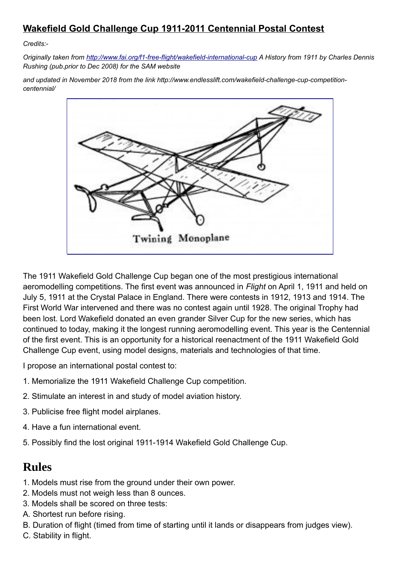## **Wakefield Gold Challenge Cup 1911-2011 Centennial Postal Contest**

*Credits:-*

*Originally taken from<http://www.fai.org/f1-free-flight/wakefield-international-cup>A History from 1911 by Charles Dennis Rushing (pub.prior to Dec 2008) for the SAM website*

*and updated in November 2018 from the link http://www.endlesslift.com/wakefield-challenge-cup-competitioncentennial/*



The 1911 Wakefield Gold Challenge Cup began one of the most prestigious international aeromodelling competitions. The first event was announced in *Flight* on April 1, 1911 and held on July 5, 1911 at the Crystal Palace in England. There were contests in 1912, 1913 and 1914. The First World War intervened and there was no contest again until 1928. The original Trophy had been lost. Lord Wakefield donated an even grander Silver Cup for the new series, which has continued to today, making it the longest running aeromodelling event. This year is the Centennial of the first event. This is an opportunity for a historical reenactment of the 1911 Wakefield Gold Challenge Cup event, using model designs, materials and technologies of that time.

I propose an international postal contest to:

- 1. Memorialize the 1911 Wakefield Challenge Cup competition.
- 2. Stimulate an interest in and study of model aviation history.
- 3. Publicise free flight model airplanes.
- 4. Have a fun international event.
- 5. Possibly find the lost original 1911-1914 Wakefield Gold Challenge Cup.

## **Rules**

- 1. Models must rise from the ground under their own power.
- 2. Models must not weigh less than 8 ounces.
- 3. Models shall be scored on three tests:
- A. Shortest run before rising.
- B. Duration of flight (timed from time of starting until it lands or disappears from judges view).
- C. Stability in flight.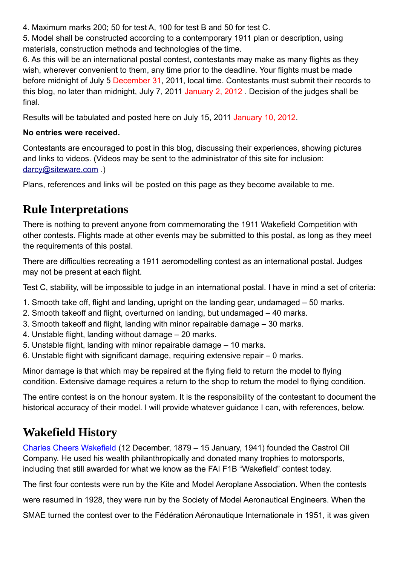4. Maximum marks 200; 50 for test A, 100 for test B and 50 for test C.

5. Model shall be constructed according to a contemporary 1911 plan or description, using materials, construction methods and technologies of the time.

6. As this will be an international postal contest, contestants may make as many flights as they wish, wherever convenient to them, any time prior to the deadline. Your flights must be made before midnight of July 5 December 31, 2011, local time. Contestants must submit their records to this blog, no later than midnight, July 7, 2011 January 2, 2012 . Decision of the judges shall be final.

Results will be tabulated and posted here on July 15, 2011 January 10, 2012.

## **No entries were received.**

Contestants are encouraged to post in this blog, discussing their experiences, showing pictures and links to videos. (Videos may be sent to the administrator of this site for inclusion: [darcy@siteware.com](mailto:darcy@siteware.com) .)

Plans, references and links will be posted on this page as they become available to me.

# **Rule Interpretations**

There is nothing to prevent anyone from commemorating the 1911 Wakefield Competition with other contests. Flights made at other events may be submitted to this postal, as long as they meet the requirements of this postal.

There are difficulties recreating a 1911 aeromodelling contest as an international postal. Judges may not be present at each flight.

Test C, stability, will be impossible to judge in an international postal. I have in mind a set of criteria:

- 1. Smooth take off, flight and landing, upright on the landing gear, undamaged 50 marks.
- 2. Smooth takeoff and flight, overturned on landing, but undamaged 40 marks.
- 3. Smooth takeoff and flight, landing with minor repairable damage 30 marks.
- 4. Unstable flight, landing without damage 20 marks.
- 5. Unstable flight, landing with minor repairable damage 10 marks.
- 6. Unstable flight with significant damage, requiring extensive repair 0 marks.

Minor damage is that which may be repaired at the flying field to return the model to flying condition. Extensive damage requires a return to the shop to return the model to flying condition.

The entire contest is on the honour system. It is the responsibility of the contestant to document the historical accuracy of their model. I will provide whatever guidance I can, with references, below.

# **Wakefield History**

[Charles Cheers Wakefield](http://www.wakefieldtrust.org.uk/about-charles-wakefield.php) (12 December, 1879 – 15 January, 1941) founded the Castrol Oil Company. He used his wealth philanthropically and donated many trophies to motorsports, including that still awarded for what we know as the FAI F1B "Wakefield" contest today.

The first four contests were run by the Kite and Model Aeroplane Association. When the contests

were resumed in 1928, they were run by the Society of Model Aeronautical Engineers. When the

SMAE turned the contest over to the Fédération Aéronautique Internationale in 1951, it was given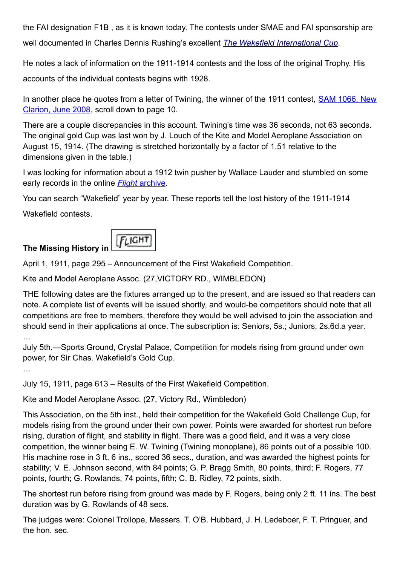the FAI designation F1B , as it is known today. The contests under SMAE and FAI sponsorship are well documented in Charles Dennis Rushing's excellent *[The Wakefield International Cup.](http://www.fai.org/f1-free-flight/wakefield-international-cup)*

He notes a lack of information on the 1911-1914 contests and the loss of the original Trophy. His accounts of the individual contests begins with 1928.

In another place he quotes from a letter of Twining, the winner of the 1911 contest, [SAM 1066, New](http://www.sam1066.org/nc0608.pdf) [Clarion, June 2008,](http://www.sam1066.org/nc0608.pdf) scroll down to page 10.

There are a couple discrepancies in this account. Twining's time was 36 seconds, not 63 seconds. The original gold Cup was last won by J. Louch of the Kite and Model Aeroplane Association on August 15, 1914. (The drawing is stretched horizontally by a factor of 1.51 relative to the dimensions given in the table.)

I was looking for information about a 1912 twin pusher by Wallace Lauder and stumbled on some early records in the online *[Flight](http://www.flightglobal.com/pdfarchive/index.html)* [archive.](http://www.flightglobal.com/pdfarchive/index.html)

You can search "Wakefield" year by year. These reports tell the lost history of the 1911-1914

Wakefield contests.



April 1, 1911, page 295 – Announcement of the First Wakefield Competition.

Kite and Model Aeroplane Assoc. (27,VICTORY RD., WIMBLEDON)

THE following dates are the fixtures arranged up to the present, and are issued so that readers can note. A complete list of events will be issued shortly, and would-be competitors should note that all competitions are free to members, therefore they would be well advised to join the association and should send in their applications at once. The subscription is: Seniors, 5s.; Juniors, 2s.6d.a year.

…

July 5th.—Sports Ground, Crystal Palace, Competition for models rising from ground under own power, for Sir Chas. Wakefield's Gold Cup.

…

July 15, 1911, page 613 – Results of the First Wakefield Competition.

Kite and Model Aeroplane Assoc. (27, Victory Rd., Wimbledon)

This Association, on the 5th inst., held their competition for the Wakefield Gold Challenge Cup, for models rising from the ground under their own power. Points were awarded for shortest run before rising, duration of flight, and stability in flight. There was a good field, and it was a very close competition, the winner being E. W. Twining (Twining monoplane), 86 points out of a possible 100. His machine rose in 3 ft. 6 ins., scored 36 secs., duration, and was awarded the highest points for stability; V. E. Johnson second, with 84 points; G. P. Bragg Smith, 80 points, third; F. Rogers, 77 points, fourth; G. Rowlands, 74 points, fifth; C. B. Ridley, 72 points, sixth.

The shortest run before rising from ground was made by F. Rogers, being only 2 ft. 11 ins. The best duration was by G. Rowlands of 48 secs.

The judges were: Colonel Trollope, Messers. T. O'B. Hubbard, J. H. Ledeboer, F. T. Pringuer, and the hon. sec.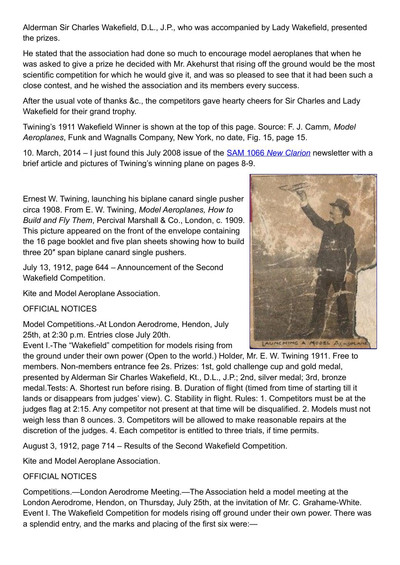Alderman Sir Charles Wakefield, D.L., J.P., who was accompanied by Lady Wakefield, presented the prizes.

He stated that the association had done so much to encourage model aeroplanes that when he was asked to give a prize he decided with Mr. Akehurst that rising off the ground would be the most scientific competition for which he would give it, and was so pleased to see that it had been such a close contest, and he wished the association and its members every success.

After the usual vote of thanks &c., the competitors gave hearty cheers for Sir Charles and Lady Wakefield for their grand trophy.

Twining's 1911 Wakefield Winner is shown at the top of this page. Source: F. J. Camm, *Model Aeroplanes*, Funk and Wagnalls Company, New York, no date, Fig. 15, page 15.

10. March, 2014 – I just found this July 2008 issue of the [SAM 1066](http://www.sam1066.org/nc0708.pdf) *[New Clarion](http://www.sam1066.org/nc0708.pdf)* newsletter with a brief article and pictures of Twining's winning plane on pages 8-9.

Ernest W. Twining, launching his biplane canard single pusher circa 1908. From E. W. Twining, *Model Aeroplanes, How to Build and Fly Them*, Percival Marshall & Co., London, c. 1909. This picture appeared on the front of the envelope containing the 16 page booklet and five plan sheets showing how to build three 20″ span biplane canard single pushers.

July 13, 1912, page 644 – Announcement of the Second Wakefield Competition.

Kite and Model Aeroplane Association.

OFFICIAL NOTICES

Model Competitions.-At London Aerodrome, Hendon, July 25th, at 2:30 p.m. Entries close July 20th.

Event I.-The "Wakefield" competition for models rising from

the ground under their own power (Open to the world.) Holder, Mr. E. W. Twining 1911. Free to members. Non-members entrance fee 2s. Prizes: 1st, gold challenge cup and gold medal, presented by Alderman Sir Charles Wakefield, Kt., D.L., J.P.; 2nd, silver medal; 3rd, bronze medal.Tests: A. Shortest run before rising. B. Duration of flight (timed from time of starting till it lands or disappears from judges' view). C. Stability in flight. Rules: 1. Competitors must be at the judges flag at 2:15. Any competitor not present at that time will be disqualified. 2. Models must not weigh less than 8 ounces. 3. Competitors will be allowed to make reasonable repairs at the discretion of the judges. 4. Each competitor is entitled to three trials, if time permits.

August 3, 1912, page 714 – Results of the Second Wakefield Competition.

Kite and Model Aeroplane Association.

## OFFICIAL NOTICES

Competitions.—London Aerodrome Meeting.—The Association held a model meeting at the London Aerodrome, Hendon, on Thursday, July 25th, at the invitation of Mr. C. Grahame-White. Event I. The Wakefield Competition for models rising off ground under their own power. There was a splendid entry, and the marks and placing of the first six were:—

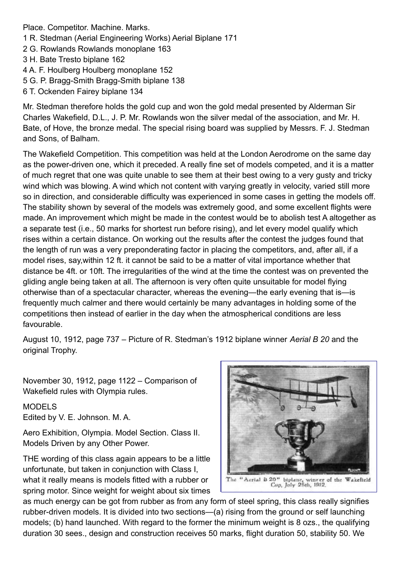Place. Competitor. Machine. Marks.

- 1 R. Stedman (Aerial Engineering Works) Aerial Biplane 171
- 2 G. Rowlands Rowlands monoplane 163
- 3 H. Bate Tresto biplane 162
- 4 A. F. Houlberg Houlberg monoplane 152
- 5 G. P. Bragg-Smith Bragg-Smith biplane 138
- 6 T. Ockenden Fairey biplane 134

Mr. Stedman therefore holds the gold cup and won the gold medal presented by Alderman Sir Charles Wakefield, D.L., J. P. Mr. Rowlands won the silver medal of the association, and Mr. H. Bate, of Hove, the bronze medal. The special rising board was supplied by Messrs. F. J. Stedman and Sons, of Balham.

The Wakefield Competition. This competition was held at the London Aerodrome on the same day as the power-driven one, which it preceded. A really fine set of models competed, and it is a matter of much regret that one was quite unable to see them at their best owing to a very gusty and tricky wind which was blowing. A wind which not content with varying greatly in velocity, varied still more so in direction, and considerable difficulty was experienced in some cases in getting the models off. The stability shown by several of the models was extremely good, and some excellent flights were made. An improvement which might be made in the contest would be to abolish test A altogether as a separate test (i.e., 50 marks for shortest run before rising), and let every model qualify which rises within a certain distance. On working out the results after the contest the judges found that the length of run was a very preponderating factor in placing the competitors, and, after all, if a model rises, say,within 12 ft. it cannot be said to be a matter of vital importance whether that distance be 4ft. or 10ft. The irregularities of the wind at the time the contest was on prevented the gliding angle being taken at all. The afternoon is very often quite unsuitable for model flying otherwise than of a spectacular character, whereas the evening—the early evening that is—is frequently much calmer and there would certainly be many advantages in holding some of the competitions then instead of earlier in the day when the atmospherical conditions are less favourable.

August 10, 1912, page 737 – Picture of R. Stedman's 1912 biplane winner *Aerial B 20* and the original Trophy.

November 30, 1912, page 1122 – Comparison of Wakefield rules with Olympia rules.

#### MODELS

Edited by V. E. Johnson. M. A.

Aero Exhibition, Olympia. Model Section. Class II. Models Driven by any Other Power.

THE wording of this class again appears to be a little unfortunate, but taken in conjunction with Class I, what it really means is models fitted with a rubber or spring motor. Since weight for weight about six times The "Aerial B 20" biplane, winner of the Wakefield<br>Cop, Joly 25th, 1912.

as much energy can be got from rubber as from any form of steel spring, this class really signifies rubber-driven models. It is divided into two sections—(a) rising from the ground or self launching models; (b) hand launched. With regard to the former the minimum weight is 8 ozs., the qualifying duration 30 sees., design and construction receives 50 marks, flight duration 50, stability 50. We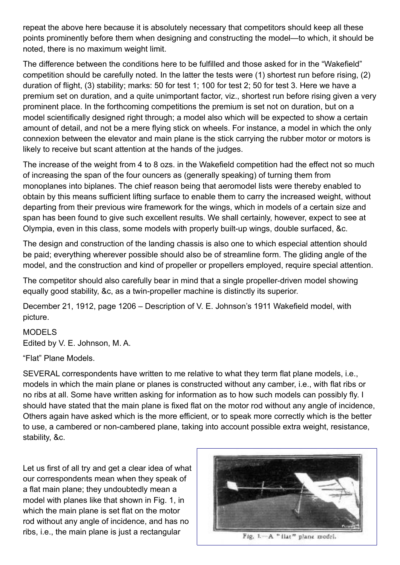repeat the above here because it is absolutely necessary that competitors should keep all these points prominently before them when designing and constructing the model—to which, it should be noted, there is no maximum weight limit.

The difference between the conditions here to be fulfilled and those asked for in the "Wakefield" competition should be carefully noted. In the latter the tests were (1) shortest run before rising, (2) duration of flight, (3) stability; marks: 50 for test 1; 100 for test 2; 50 for test 3. Here we have a premium set on duration, and a quite unimportant factor, viz., shortest run before rising given a very prominent place. In the forthcoming competitions the premium is set not on duration, but on a model scientifically designed right through; a model also which will be expected to show a certain amount of detail, and not be a mere flying stick on wheels. For instance, a model in which the only connexion between the elevator and main plane is the stick carrying the rubber motor or motors is likely to receive but scant attention at the hands of the judges.

The increase of the weight from 4 to 8 ozs. in the Wakefield competition had the effect not so much of increasing the span of the four ouncers as (generally speaking) of turning them from monoplanes into biplanes. The chief reason being that aeromodel lists were thereby enabled to obtain by this means sufficient lifting surface to enable them to carry the increased weight, without departing from their previous wire framework for the wings, which in models of a certain size and span has been found to give such excellent results. We shall certainly, however, expect to see at Olympia, even in this class, some models with properly built-up wings, double surfaced, &c.

The design and construction of the landing chassis is also one to which especial attention should be paid; everything wherever possible should also be of streamline form. The gliding angle of the model, and the construction and kind of propeller or propellers employed, require special attention.

The competitor should also carefully bear in mind that a single propeller-driven model showing equally good stability, &c, as a twin-propeller machine is distinctly its superior.

December 21, 1912, page 1206 – Description of V. E. Johnson's 1911 Wakefield model, with picture.

MODELS Edited by V. E. Johnson, M. A.

"Flat" Plane Models.

SEVERAL correspondents have written to me relative to what they term flat plane models, i.e., models in which the main plane or planes is constructed without any camber, i.e., with flat ribs or no ribs at all. Some have written asking for information as to how such models can possibly fly. I should have stated that the main plane is fixed flat on the motor rod without any angle of incidence, Others again have asked which is the more efficient, or to speak more correctly which is the better to use, a cambered or non-cambered plane, taking into account possible extra weight, resistance, stability, &c.

Let us first of all try and get a clear idea of what our correspondents mean when they speak of a flat main plane; they undoubtedly mean a model with planes like that shown in Fig. 1, in which the main plane is set flat on the motor rod without any angle of incidence, and has no ribs, i.e., the main plane is just a rectangular



Fig. 1.- A " flat" plane model.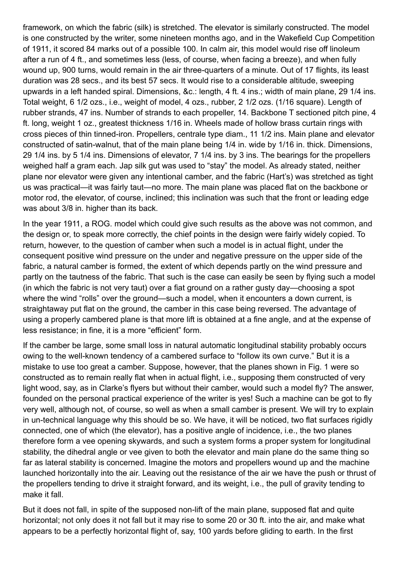framework, on which the fabric (silk) is stretched. The elevator is similarly constructed. The model is one constructed by the writer, some nineteen months ago, and in the Wakefield Cup Competition of 1911, it scored 84 marks out of a possible 100. In calm air, this model would rise off linoleum after a run of 4 ft., and sometimes less (less, of course, when facing a breeze), and when fully wound up, 900 turns, would remain in the air three-quarters of a minute. Out of 17 flights, its least duration was 28 secs., and its best 57 secs. It would rise to a considerable altitude, sweeping upwards in a left handed spiral. Dimensions, &c.: length, 4 ft. 4 ins.; width of main plane, 29 1/4 ins. Total weight, 6 1/2 ozs., i.e., weight of model, 4 ozs., rubber, 2 1/2 ozs. (1/16 square). Length of rubber strands, 47 ins. Number of strands to each propeller, 14. Backbone T sectioned pitch pine, 4 ft. long, weight 1 oz., greatest thickness 1/16 in. Wheels made of hollow brass curtain rings with cross pieces of thin tinned-iron. Propellers, centrale type diam., 11 1/2 ins. Main plane and elevator constructed of satin-walnut, that of the main plane being 1/4 in. wide by 1/16 in. thick. Dimensions, 29 1/4 ins. by 5 1/4 ins. Dimensions of elevator, 7 1/4 ins. by 3 ins. The bearings for the propellers weighed half a gram each. Jap silk gut was used to "stay" the model. As already stated, neither plane nor elevator were given any intentional camber, and the fabric (Hart's) was stretched as tight us was practical—it was fairly taut—no more. The main plane was placed flat on the backbone or motor rod, the elevator, of course, inclined; this inclination was such that the front or leading edge was about 3/8 in. higher than its back.

In the year 1911, a ROG. model which could give such results as the above was not common, and the design or, to speak more correctly, the chief points in the design were fairly widely copied. To return, however, to the question of camber when such a model is in actual flight, under the consequent positive wind pressure on the under and negative pressure on the upper side of the fabric, a natural camber is formed, the extent of which depends partly on the wind pressure and partly on the tautness of the fabric. That such is the case can easily be seen by flying such a model (in which the fabric is not very taut) over a fiat ground on a rather gusty day—choosing a spot where the wind "rolls" over the ground—such a model, when it encounters a down current, is straightaway put flat on the ground, the camber in this case being reversed. The advantage of using a properly cambered plane is that more lift is obtained at a fine angle, and at the expense of less resistance; in fine, it is a more "efficient" form.

If the camber be large, some small loss in natural automatic longitudinal stability probably occurs owing to the well-known tendency of a cambered surface to "follow its own curve." But it is a mistake to use too great a camber. Suppose, however, that the planes shown in Fig. 1 were so constructed as to remain really flat when in actual flight, i.e., supposing them constructed of very light wood, say, as in Clarke's flyers but without their camber, would such a model fly? The answer, founded on the personal practical experience of the writer is yes! Such a machine can be got to fly very well, although not, of course, so well as when a small camber is present. We will try to explain in un-technical language why this should be so. We have, it will be noticed, two flat surfaces rigidly connected, one of which (the elevator), has a positive angle of incidence, i.e., the two planes therefore form a vee opening skywards, and such a system forms a proper system for longitudinal stability, the dihedral angle or vee given to both the elevator and main plane do the same thing so far as lateral stability is concerned. Imagine the motors and propellers wound up and the machine launched horizontally into the air. Leaving out the resistance of the air we have the push or thrust of the propellers tending to drive it straight forward, and its weight, i.e., the pull of gravity tending to make it fall.

But it does not fall, in spite of the supposed non-lift of the main plane, supposed flat and quite horizontal; not only does it not fall but it may rise to some 20 or 30 ft. into the air, and make what appears to be a perfectly horizontal flight of, say, 100 yards before gliding to earth. In the first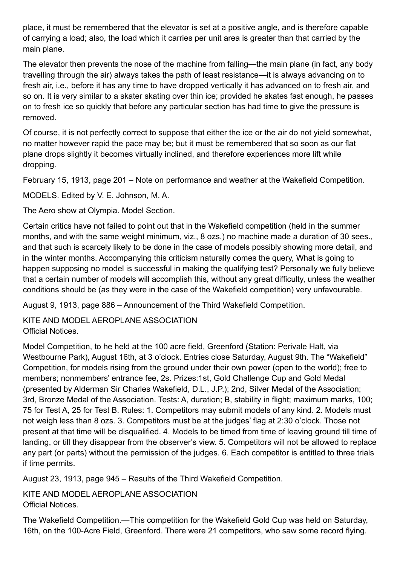place, it must be remembered that the elevator is set at a positive angle, and is therefore capable of carrying a load; also, the load which it carries per unit area is greater than that carried by the main plane.

The elevator then prevents the nose of the machine from falling—the main plane (in fact, any body travelling through the air) always takes the path of least resistance—it is always advancing on to fresh air, i.e., before it has any time to have dropped vertically it has advanced on to fresh air, and so on. It is very similar to a skater skating over thin ice; provided he skates fast enough, he passes on to fresh ice so quickly that before any particular section has had time to give the pressure is removed.

Of course, it is not perfectly correct to suppose that either the ice or the air do not yield somewhat, no matter however rapid the pace may be; but it must be remembered that so soon as our flat plane drops slightly it becomes virtually inclined, and therefore experiences more lift while dropping.

February 15, 1913, page 201 – Note on performance and weather at the Wakefield Competition.

MODELS. Edited by V. E. Johnson, M. A.

The Aero show at Olympia. Model Section.

Certain critics have not failed to point out that in the Wakefield competition (held in the summer months, and with the same weight minimum, viz., 8 ozs.) no machine made a duration of 30 sees., and that such is scarcely likely to be done in the case of models possibly showing more detail, and in the winter months. Accompanying this criticism naturally comes the query, What is going to happen supposing no model is successful in making the qualifying test? Personally we fully believe that a certain number of models will accomplish this, without any great difficulty, unless the weather conditions should be (as they were in the case of the Wakefield competition) very unfavourable.

August 9, 1913, page 886 – Announcement of the Third Wakefield Competition.

KITE AND MODEL AEROPLANE ASSOCIATION Official Notices.

Model Competition, to he held at the 100 acre field, Greenford (Station: Perivale Halt, via Westbourne Park), August 16th, at 3 o'clock. Entries close Saturday, August 9th. The "Wakefield" Competition, for models rising from the ground under their own power (open to the world); free to members; nonmembers' entrance fee, 2s. Prizes:1st, Gold Challenge Cup and Gold Medal (presented by Alderman Sir Charles Wakefield, D.L., J.P.); 2nd, Silver Medal of the Association; 3rd, Bronze Medal of the Association. Tests: A, duration; B, stability in flight; maximum marks, 100; 75 for Test A, 25 for Test B. Rules: 1. Competitors may submit models of any kind. 2. Models must not weigh less than 8 ozs. 3. Competitors must be at the judges' flag at 2:30 o'clock. Those not present at that time will be disqualified. 4. Models to be timed from time of leaving ground till time of landing, or till they disappear from the observer's view. 5. Competitors will not be allowed to replace any part (or parts) without the permission of the judges. 6. Each competitor is entitled to three trials if time permits.

August 23, 1913, page 945 – Results of the Third Wakefield Competition.

KITE AND MODEL AEROPLANE ASSOCIATION Official Notices.

The Wakefield Competition.—This competition for the Wakefield Gold Cup was held on Saturday, 16th, on the 100-Acre Field, Greenford. There were 21 competitors, who saw some record flying.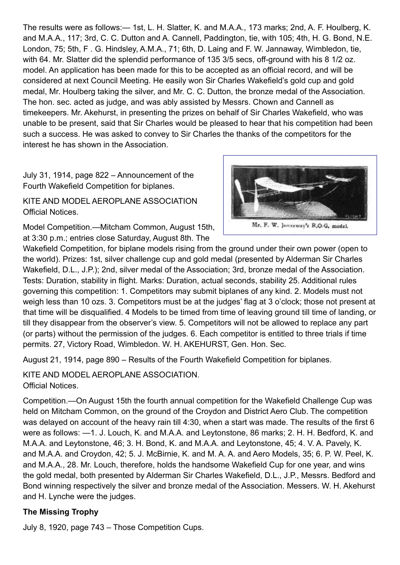The results were as follows:— 1st, L. H. Slatter, K. and M.A.A., 173 marks; 2nd, A. F. Houlberg, K. and M.A.A., 117; 3rd, C. C. Dutton and A. Cannell, Paddington, tie, with 105; 4th, H. G. Bond, N.E. London, 75; 5th, F . G. Hindsley, A.M.A., 71; 6th, D. Laing and F. W. Jannaway, Wimbledon, tie, with 64. Mr. Slatter did the splendid performance of 135 3/5 secs, off-ground with his 8 1/2 oz. model. An application has been made for this to be accepted as an official record, and will be considered at next Council Meeting. He easily won Sir Charles Wakefield's gold cup and gold medal, Mr. Houlberg taking the silver, and Mr. C. C. Dutton, the bronze medal of the Association. The hon. sec. acted as judge, and was ably assisted by Messrs. Chown and Cannell as timekeepers. Mr. Akehurst, in presenting the prizes on behalf of Sir Charles Wakefield, who was unable to be present, said that Sir Charles would be pleased to hear that his competition had been such a success. He was asked to convey to Sir Charles the thanks of the competitors for the interest he has shown in the Association.

July 31, 1914, page 822 – Announcement of the Fourth Wakefield Competition for biplanes.

KITE AND MODEL AEROPLANE ASSOCIATION Official Notices.





Wakefield Competition, for biplane models rising from the ground under their own power (open to the world). Prizes: 1st, silver challenge cup and gold medal (presented by Alderman Sir Charles Wakefield, D.L., J.P.); 2nd, silver medal of the Association; 3rd, bronze medal of the Association. Tests: Duration, stability in flight. Marks: Duration, actual seconds, stability 25. Additional rules governing this competition: 1. Competitors may submit biplanes of any kind. 2. Models must not weigh less than 10 ozs. 3. Competitors must be at the judges' flag at 3 o'clock; those not present at that time will be disqualified. 4 Models to be timed from time of leaving ground till time of landing, or till they disappear from the observer's view. 5. Competitors will not be allowed to replace any part (or parts) without the permission of the judges. 6. Each competitor is entitled to three trials if time permits. 27, Victory Road, Wimbledon. W. H. AKEHURST, Gen. Hon. Sec.

August 21, 1914, page 890 – Results of the Fourth Wakefield Competition for biplanes.

KITE AND MODEL AEROPLANE ASSOCIATION. Official Notices.

Competition.—On August 15th the fourth annual competition for the Wakefield Challenge Cup was held on Mitcham Common, on the ground of the Croydon and District Aero Club. The competition was delayed on account of the heavy rain till 4:30, when a start was made. The results of the first 6 were as follows: —1. J. Louch, K. and M.A.A. and Leytonstone, 86 marks; 2. H. H. Bedford, K. and M.A.A. and Leytonstone, 46; 3. H. Bond, K. and M.A.A. and Leytonstone, 45; 4. V. A. Pavely, K. and M.A.A. and Croydon, 42; 5. J. McBirnie, K. and M. A. A. and Aero Models, 35; 6. P. W. Peel, K. and M.A.A., 28. Mr. Louch, therefore, holds the handsome Wakefield Cup for one year, and wins the gold medal, both presented by Alderman Sir Charles Wakefield, D.L., J.P., Messrs. Bedford and Bond winning respectively the silver and bronze medal of the Association. Messers. W. H. Akehurst and H. Lynche were the judges.

## **The Missing Trophy**

July 8, 1920, page 743 – Those Competition Cups.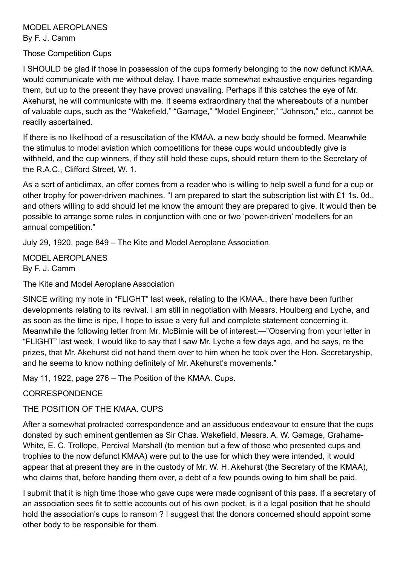#### MODEL AEROPLANES By F. J. Camm

#### Those Competition Cups

I SHOULD be glad if those in possession of the cups formerly belonging to the now defunct KMAA. would communicate with me without delay. I have made somewhat exhaustive enquiries regarding them, but up to the present they have proved unavailing. Perhaps if this catches the eye of Mr. Akehurst, he will communicate with me. It seems extraordinary that the whereabouts of a number of valuable cups, such as the "Wakefield," "Gamage," "Model Engineer," "Johnson," etc., cannot be readily ascertained.

If there is no likelihood of a resuscitation of the KMAA. a new body should be formed. Meanwhile the stimulus to model aviation which competitions for these cups would undoubtedly give is withheld, and the cup winners, if they still hold these cups, should return them to the Secretary of the R.A.C., Clifford Street, W. 1.

As a sort of anticlimax, an offer comes from a reader who is willing to help swell a fund for a cup or other trophy for power-driven machines. "I am prepared to start the subscription list with £1 1s. 0d., and others willing to add should let me know the amount they are prepared to give. It would then be possible to arrange some rules in conjunction with one or two 'power-driven' modellers for an annual competition."

July 29, 1920, page 849 – The Kite and Model Aeroplane Association.

MODEL AEROPLANES By F. J. Camm

The Kite and Model Aeroplane Association

SINCE writing my note in "FLIGHT" last week, relating to the KMAA., there have been further developments relating to its revival. I am still in negotiation with Messrs. Houlberg and Lyche, and as soon as the time is ripe, I hope to issue a very full and complete statement concerning it. Meanwhile the following letter from Mr. McBirnie will be of interest:—"Observing from your letter in "FLIGHT" last week, I would like to say that I saw Mr. Lyche a few days ago, and he says, re the prizes, that Mr. Akehurst did not hand them over to him when he took over the Hon. Secretaryship, and he seems to know nothing definitely of Mr. Akehurst's movements."

May 11, 1922, page 276 – The Position of the KMAA. Cups.

#### CORRESPONDENCE

THE POSITION OF THE KMAA. CUPS

After a somewhat protracted correspondence and an assiduous endeavour to ensure that the cups donated by such eminent gentlemen as Sir Chas. Wakefield, Messrs. A. W. Gamage, Grahame-White, E. C. Trollope, Percival Marshall (to mention but a few of those who presented cups and trophies to the now defunct KMAA) were put to the use for which they were intended, it would appear that at present they are in the custody of Mr. W. H. Akehurst (the Secretary of the KMAA), who claims that, before handing them over, a debt of a few pounds owing to him shall be paid.

I submit that it is high time those who gave cups were made cognisant of this pass. If a secretary of an association sees fit to settle accounts out of his own pocket, is it a legal position that he should hold the association's cups to ransom ? I suggest that the donors concerned should appoint some other body to be responsible for them.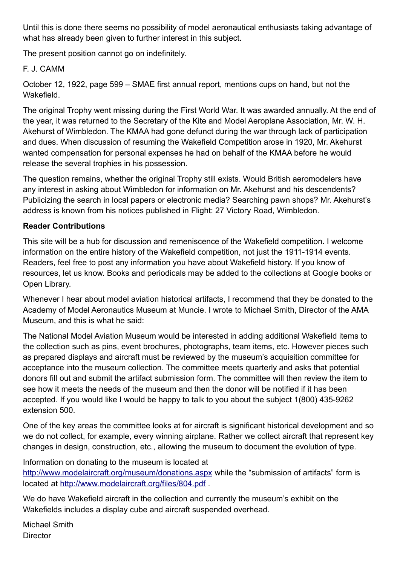Until this is done there seems no possibility of model aeronautical enthusiasts taking advantage of what has already been given to further interest in this subject.

The present position cannot go on indefinitely.

## F. J. CAMM

October 12, 1922, page 599 – SMAE first annual report, mentions cups on hand, but not the **Wakefield** 

The original Trophy went missing during the First World War. It was awarded annually. At the end of the year, it was returned to the Secretary of the Kite and Model Aeroplane Association, Mr. W. H. Akehurst of Wimbledon. The KMAA had gone defunct during the war through lack of participation and dues. When discussion of resuming the Wakefield Competition arose in 1920, Mr. Akehurst wanted compensation for personal expenses he had on behalf of the KMAA before he would release the several trophies in his possession.

The question remains, whether the original Trophy still exists. Would British aeromodelers have any interest in asking about Wimbledon for information on Mr. Akehurst and his descendents? Publicizing the search in local papers or electronic media? Searching pawn shops? Mr. Akehurst's address is known from his notices published in Flight: 27 Victory Road, Wimbledon.

## **Reader Contributions**

This site will be a hub for discussion and remeniscence of the Wakefield competition. I welcome information on the entire history of the Wakefield competition, not just the 1911-1914 events. Readers, feel free to post any information you have about Wakefield history. If you know of resources, let us know. Books and periodicals may be added to the collections at Google books or Open Library.

Whenever I hear about model aviation historical artifacts, I recommend that they be donated to the Academy of Model Aeronautics Museum at Muncie. I wrote to Michael Smith, Director of the AMA Museum, and this is what he said:

The National Model Aviation Museum would be interested in adding additional Wakefield items to the collection such as pins, event brochures, photographs, team items, etc. However pieces such as prepared displays and aircraft must be reviewed by the museum's acquisition committee for acceptance into the museum collection. The committee meets quarterly and asks that potential donors fill out and submit the artifact submission form. The committee will then review the item to see how it meets the needs of the museum and then the donor will be notified if it has been accepted. If you would like I would be happy to talk to you about the subject 1(800) 435-9262 extension 500.

One of the key areas the committee looks at for aircraft is significant historical development and so we do not collect, for example, every winning airplane. Rather we collect aircraft that represent key changes in design, construction, etc., allowing the museum to document the evolution of type.

Information on donating to the museum is located at <http://www.modelaircraft.org/museum/donations.aspx>while the "submission of artifacts" form is located at<http://www.modelaircraft.org/files/804.pdf>.

We do have Wakefield aircraft in the collection and currently the museum's exhibit on the Wakefields includes a display cube and aircraft suspended overhead.

Michael Smith **Director**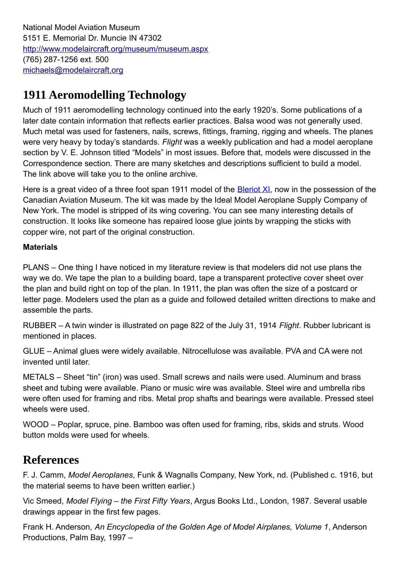National Model Aviation Museum 5151 E. Memorial Dr. Muncie IN 47302 <http://www.modelaircraft.org/museum/museum.aspx> (765) 287-1256 ext. 500 [michaels@modelaircraft.org](mailto:michaels@modelaircraft.org)

# **1911 Aeromodelling Technology**

Much of 1911 aeromodelling technology continued into the early 1920's. Some publications of a later date contain information that reflects earlier practices. Balsa wood was not generally used. Much metal was used for fasteners, nails, screws, fittings, framing, rigging and wheels. The planes were very heavy by today's standards. *Flight* was a weekly publication and had a model aeroplane section by V. E. Johnson titled "Models" in most issues. Before that, models were discussed in the Correspondence section. There are many sketches and descriptions sufficient to build a model. The link above will take you to the online archive.

Here is a great video of a three foot span 1911 model of the **Bleriot XI**, now in the possession of the Canadian Aviation Museum. The kit was made by the Ideal Model Aeroplane Supply Company of New York. The model is stripped of its wing covering. You can see many interesting details of construction. It looks like someone has repaired loose glue joints by wrapping the sticks with copper wire, not part of the original construction.

#### **Materials**

PLANS – One thing I have noticed in my literature review is that modelers did not use plans the way we do. We tape the plan to a building board, tape a transparent protective cover sheet over the plan and build right on top of the plan. In 1911, the plan was often the size of a postcard or letter page. Modelers used the plan as a guide and followed detailed written directions to make and assemble the parts.

RUBBER – A twin winder is illustrated on page 822 of the July 31, 1914 *Flight*. Rubber lubricant is mentioned in places.

GLUE – Animal glues were widely available. Nitrocellulose was available. PVA and CA were not invented until later.

METALS – Sheet "tin" (iron) was used. Small screws and nails were used. Aluminum and brass sheet and tubing were available. Piano or music wire was available. Steel wire and umbrella ribs were often used for framing and ribs. Metal prop shafts and bearings were available. Pressed steel wheels were used.

WOOD – Poplar, spruce, pine. Bamboo was often used for framing, ribs, skids and struts. Wood button molds were used for wheels.

# **References**

F. J. Camm, *Model Aeroplanes*, Funk & Wagnalls Company, New York, nd. (Published c. 1916, but the material seems to have been written earlier.)

Vic Smeed, *Model Flying – the First Fifty Years*, Argus Books Ltd., London, 1987. Several usable drawings appear in the first few pages.

Frank H. Anderson, *An Encyclopedia of the Golden Age of Model Airplanes, Volume 1*, Anderson Productions, Palm Bay, 1997 –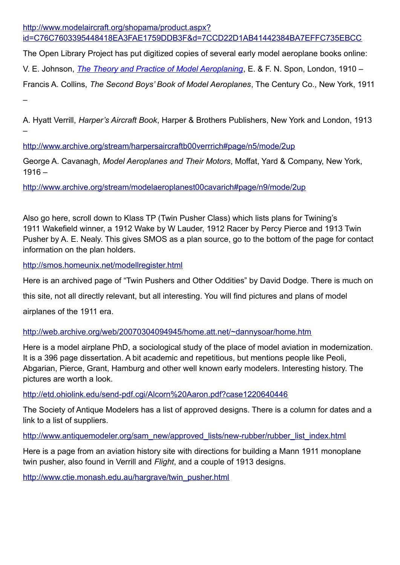[http://www.modelaircraft.org/shopama/product.aspx?](http://www.modelaircraft.org/shopama/product.aspx?id=C76C7603395448418EA3FAE1759DDB3F&d=7CCD22D1AB41442384BA7EFFC735EBCC) [id=C76C7603395448418EA3FAE1759DDB3F&d=7CCD22D1AB41442384BA7EFFC735EBCC](http://www.modelaircraft.org/shopama/product.aspx?id=C76C7603395448418EA3FAE1759DDB3F&d=7CCD22D1AB41442384BA7EFFC735EBCC)

The Open Library Project has put digitized copies of several early model aeroplane books online: V. E. Johnson, *[The Theory and Practice of Model Aeroplaning](http://www.archive.org/stream/theorypracticeof00johnrich#page/n5/mode/2up)*, E. & F. N. Spon, London, 1910 –

Francis A. Collins, *The Second Boys' Book of Model Aeroplanes*, The Century Co., New York, 1911 –

A. Hyatt Verrill, *Harper's Aircraft Book*, Harper & Brothers Publishers, New York and London, 1913 –

<http://www.archive.org/stream/harpersaircraftb00verrrich#page/n5/mode/2up>

George A. Cavanagh, *Model Aeroplanes and Their Motors*, Moffat, Yard & Company, New York,  $1916 -$ 

<http://www.archive.org/stream/modelaeroplanest00cavarich#page/n9/mode/2up>

Also go here, scroll down to Klass TP (Twin Pusher Class) which lists plans for Twining's 1911 Wakefield winner, a 1912 Wake by W Lauder, 1912 Racer by Percy Pierce and 1913 Twin Pusher by A. E. Nealy. This gives SMOS as a plan source, go to the bottom of the page for contact information on the plan holders.

<http://smos.homeunix.net/modellregister.html>

Here is an archived page of "Twin Pushers and Other Oddities" by David Dodge. There is much on

this site, not all directly relevant, but all interesting. You will find pictures and plans of model

airplanes of the 1911 era.

<http://web.archive.org/web/20070304094945/home.att.net/~dannysoar/home.htm>

Here is a model airplane PhD, a sociological study of the place of model aviation in modernization. It is a 396 page dissertation. A bit academic and repetitious, but mentions people like Peoli, Abgarian, Pierce, Grant, Hamburg and other well known early modelers. Interesting history. The pictures are worth a look.

<http://etd.ohiolink.edu/send-pdf.cgi/Alcorn%20Aaron.pdf?case1220640446>

The Society of Antique Modelers has a list of approved designs. There is a column for dates and a link to a list of suppliers.

[http://www.antiquemodeler.org/sam\\_new/approved\\_lists/new-rubber/rubber\\_list\\_index.html](http://www.antiquemodeler.org/sam_new/approved_lists/new-rubber/rubber_list_index.html)

Here is a page from an aviation history site with directions for building a Mann 1911 monoplane twin pusher, also found in Verrill and *Flight*, and a couple of 1913 designs.

[http://www.ctie.monash.edu.au/hargrave/twin\\_pusher.html](http://www.ctie.monash.edu.au/hargrave/twin_pusher.html)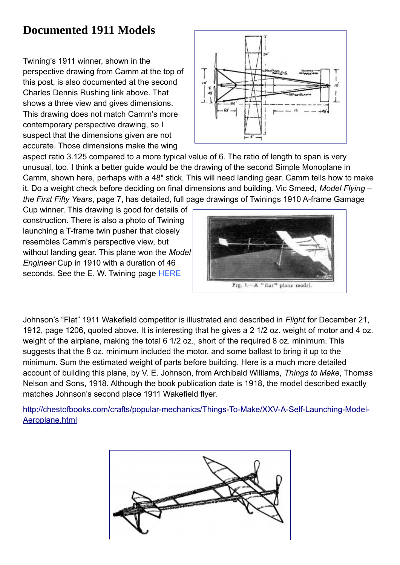# **Documented 1911 Models**

Twining's 1911 winner, shown in the perspective drawing from Camm at the top of this post, is also documented at the second Charles Dennis Rushing link above. That shows a three view and gives dimensions. This drawing does not match Camm's more contemporary perspective drawing, so I suspect that the dimensions given are not accurate. Those dimensions make the wing



aspect ratio 3.125 compared to a more typical value of 6. The ratio of length to span is very unusual, too. I think a better guide would be the drawing of the second Simple Monoplane in Camm, shown here, perhaps with a 48″ stick. This will need landing gear. Camm tells how to make it. Do a weight check before deciding on final dimensions and building. Vic Smeed, *Model Flying – the First Fifty Years*, page 7, has detailed, full page drawings of Twinings 1910 A-frame Gamage

Cup winner. This drawing is good for details of construction. There is also a photo of Twining launching a T-frame twin pusher that closely resembles Camm's perspective view, but without landing gear. This plane won the *Model Engineer* Cup in 1910 with a duration of 46 seconds. See the E. W. Twining page **HERE** 



Johnson's "Flat" 1911 Wakefield competitor is illustrated and described in *Flight* for December 21, 1912, page 1206, quoted above. It is interesting that he gives a 2 1/2 oz. weight of motor and 4 oz. weight of the airplane, making the total 6 1/2 oz., short of the required 8 oz. minimum. This suggests that the 8 oz. minimum included the motor, and some ballast to bring it up to the minimum. Sum the estimated weight of parts before building. Here is a much more detailed account of building this plane, by V. E. Johnson, from Archibald Williams, *Things to Make*, Thomas Nelson and Sons, 1918. Although the book publication date is 1918, the model described exactly matches Johnson's second place 1911 Wakefield flyer.

[http://chestofbooks.com/crafts/popular-mechanics/Things-To-Make/XXV-A-Self-Launching-Model-](http://chestofbooks.com/crafts/popular-mechanics/Things-To-Make/XXV-A-Self-Launching-Model-Aeroplane.html)[Aeroplane.html](http://chestofbooks.com/crafts/popular-mechanics/Things-To-Make/XXV-A-Self-Launching-Model-Aeroplane.html)

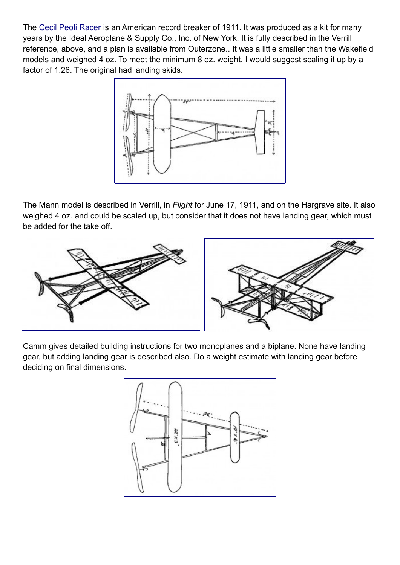The [Cecil Peoli Racer](http://outerzone.co.uk/plan_details.asp?ID=3739) is an American record breaker of 1911. It was produced as a kit for many years by the Ideal Aeroplane & Supply Co., Inc. of New York. It is fully described in the Verrill reference, above, and a plan is available from Outerzone.. It was a little smaller than the Wakefield models and weighed 4 oz. To meet the minimum 8 oz. weight, I would suggest scaling it up by a factor of 1.26. The original had landing skids.



The Mann model is described in Verrill, in *Flight* for June 17, 1911, and on the Hargrave site. It also weighed 4 oz. and could be scaled up, but consider that it does not have landing gear, which must be added for the take off.



Camm gives detailed building instructions for two monoplanes and a biplane. None have landing gear, but adding landing gear is described also. Do a weight estimate with landing gear before deciding on final dimensions.